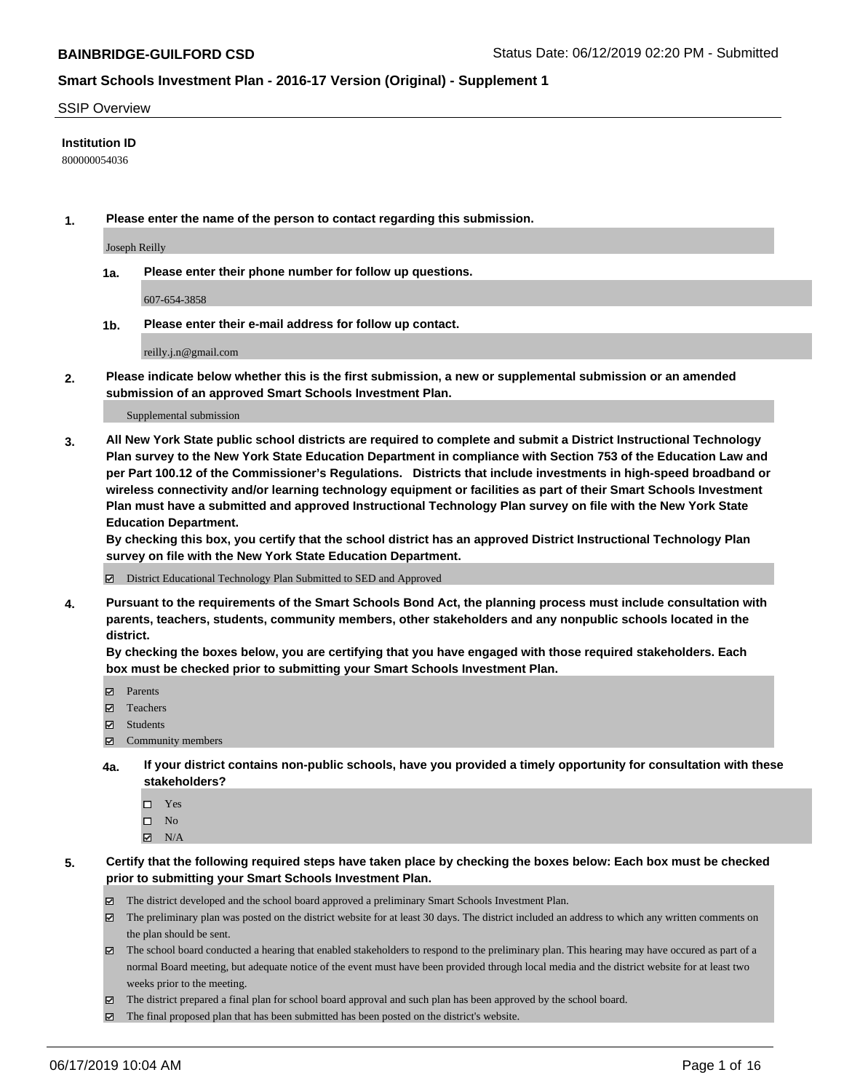#### SSIP Overview

#### **Institution ID**

800000054036

**1. Please enter the name of the person to contact regarding this submission.**

Joseph Reilly

**1a. Please enter their phone number for follow up questions.**

607-654-3858

**1b. Please enter their e-mail address for follow up contact.**

reilly.j.n@gmail.com

**2. Please indicate below whether this is the first submission, a new or supplemental submission or an amended submission of an approved Smart Schools Investment Plan.**

#### Supplemental submission

**3. All New York State public school districts are required to complete and submit a District Instructional Technology Plan survey to the New York State Education Department in compliance with Section 753 of the Education Law and per Part 100.12 of the Commissioner's Regulations. Districts that include investments in high-speed broadband or wireless connectivity and/or learning technology equipment or facilities as part of their Smart Schools Investment Plan must have a submitted and approved Instructional Technology Plan survey on file with the New York State Education Department.** 

**By checking this box, you certify that the school district has an approved District Instructional Technology Plan survey on file with the New York State Education Department.**

District Educational Technology Plan Submitted to SED and Approved

**4. Pursuant to the requirements of the Smart Schools Bond Act, the planning process must include consultation with parents, teachers, students, community members, other stakeholders and any nonpublic schools located in the district.** 

**By checking the boxes below, you are certifying that you have engaged with those required stakeholders. Each box must be checked prior to submitting your Smart Schools Investment Plan.**

- Parents
- Teachers
- Students
- Community members
- **4a. If your district contains non-public schools, have you provided a timely opportunity for consultation with these stakeholders?**
	- □ Yes
	- $\square$  No
	- $N/A$
- **5. Certify that the following required steps have taken place by checking the boxes below: Each box must be checked prior to submitting your Smart Schools Investment Plan.**
	- The district developed and the school board approved a preliminary Smart Schools Investment Plan.
	- $\boxtimes$  The preliminary plan was posted on the district website for at least 30 days. The district included an address to which any written comments on the plan should be sent.
	- $\boxtimes$  The school board conducted a hearing that enabled stakeholders to respond to the preliminary plan. This hearing may have occured as part of a normal Board meeting, but adequate notice of the event must have been provided through local media and the district website for at least two weeks prior to the meeting.
	- The district prepared a final plan for school board approval and such plan has been approved by the school board.
	- $\boxtimes$  The final proposed plan that has been submitted has been posted on the district's website.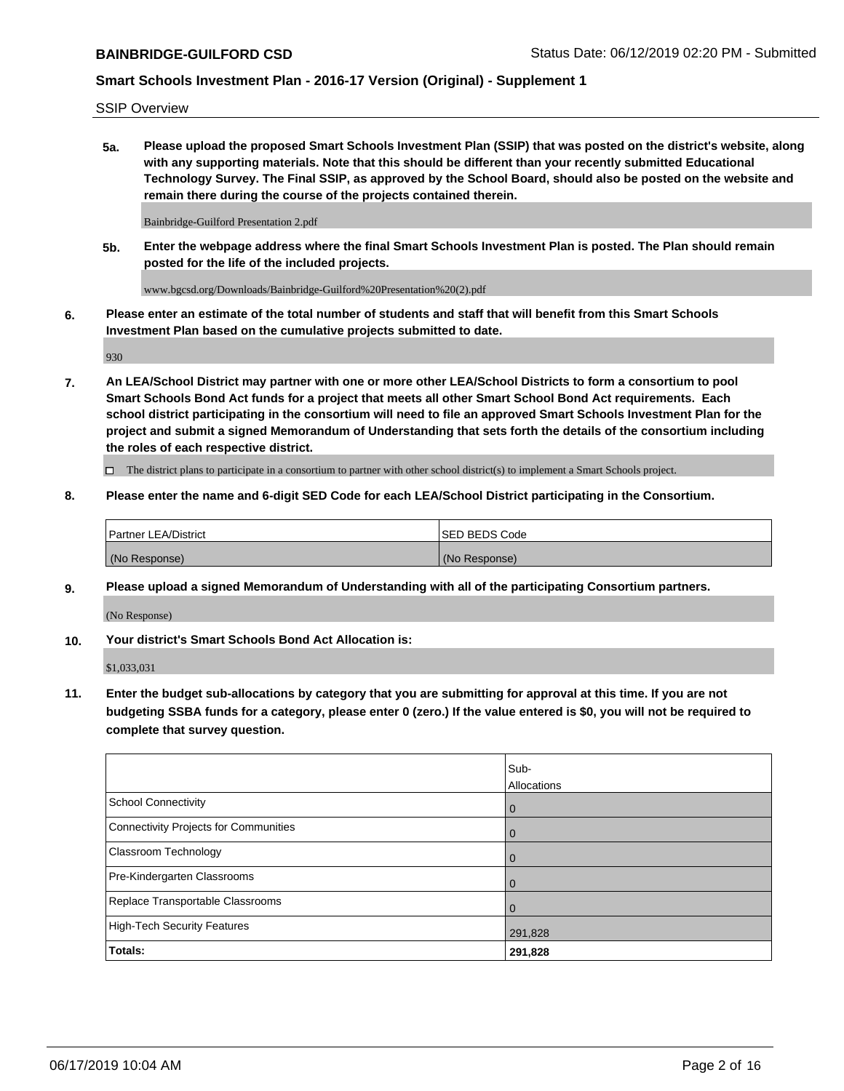SSIP Overview

**5a. Please upload the proposed Smart Schools Investment Plan (SSIP) that was posted on the district's website, along with any supporting materials. Note that this should be different than your recently submitted Educational Technology Survey. The Final SSIP, as approved by the School Board, should also be posted on the website and remain there during the course of the projects contained therein.**

Bainbridge-Guilford Presentation 2.pdf

**5b. Enter the webpage address where the final Smart Schools Investment Plan is posted. The Plan should remain posted for the life of the included projects.**

www.bgcsd.org/Downloads/Bainbridge-Guilford%20Presentation%20(2).pdf

**6. Please enter an estimate of the total number of students and staff that will benefit from this Smart Schools Investment Plan based on the cumulative projects submitted to date.**

930

**7. An LEA/School District may partner with one or more other LEA/School Districts to form a consortium to pool Smart Schools Bond Act funds for a project that meets all other Smart School Bond Act requirements. Each school district participating in the consortium will need to file an approved Smart Schools Investment Plan for the project and submit a signed Memorandum of Understanding that sets forth the details of the consortium including the roles of each respective district.**

 $\Box$  The district plans to participate in a consortium to partner with other school district(s) to implement a Smart Schools project.

#### **8. Please enter the name and 6-digit SED Code for each LEA/School District participating in the Consortium.**

| <b>Partner LEA/District</b> | <b>ISED BEDS Code</b> |
|-----------------------------|-----------------------|
| (No Response)               | (No Response)         |

#### **9. Please upload a signed Memorandum of Understanding with all of the participating Consortium partners.**

(No Response)

**10. Your district's Smart Schools Bond Act Allocation is:**

\$1,033,031

**11. Enter the budget sub-allocations by category that you are submitting for approval at this time. If you are not budgeting SSBA funds for a category, please enter 0 (zero.) If the value entered is \$0, you will not be required to complete that survey question.**

|                                       | Sub-<br>Allocations |
|---------------------------------------|---------------------|
| School Connectivity                   | $\overline{0}$      |
| Connectivity Projects for Communities | $\overline{0}$      |
| <b>Classroom Technology</b>           | $\overline{0}$      |
| Pre-Kindergarten Classrooms           | 0                   |
| Replace Transportable Classrooms      |                     |
| High-Tech Security Features           | 291,828             |
| Totals:                               | 291,828             |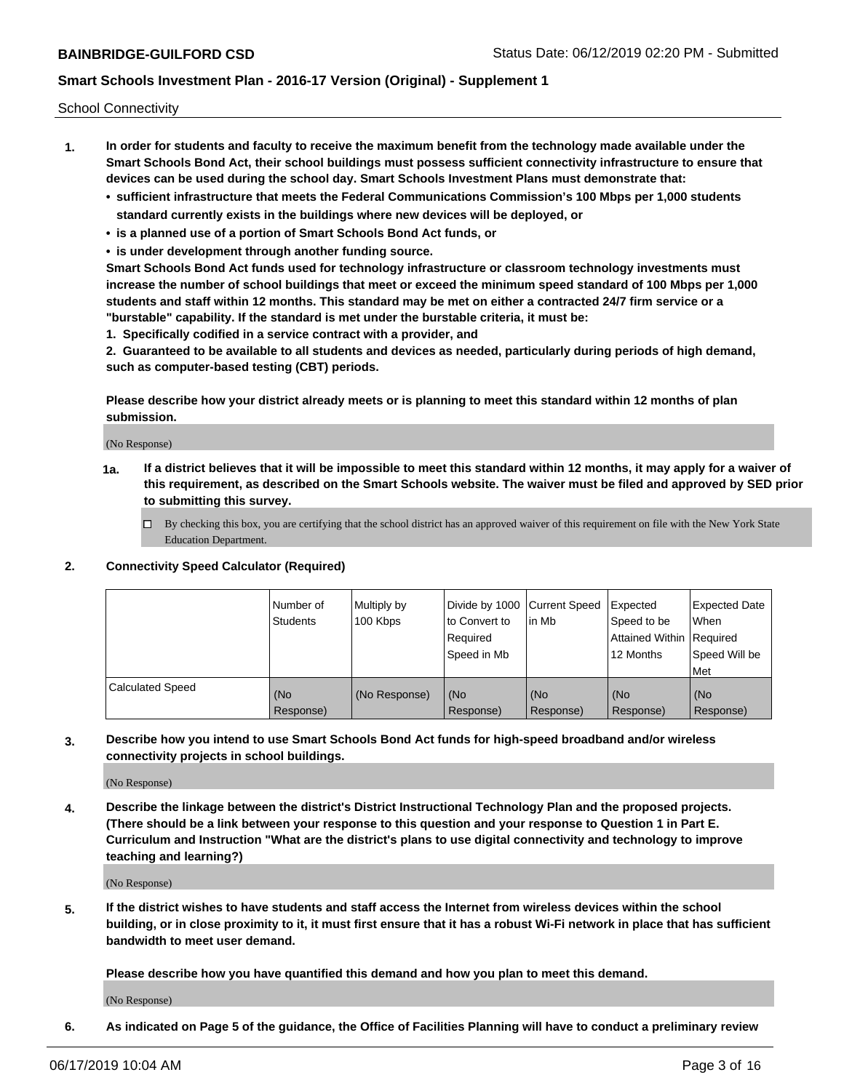School Connectivity

- **1. In order for students and faculty to receive the maximum benefit from the technology made available under the Smart Schools Bond Act, their school buildings must possess sufficient connectivity infrastructure to ensure that devices can be used during the school day. Smart Schools Investment Plans must demonstrate that:**
	- **• sufficient infrastructure that meets the Federal Communications Commission's 100 Mbps per 1,000 students standard currently exists in the buildings where new devices will be deployed, or**
	- **• is a planned use of a portion of Smart Schools Bond Act funds, or**
	- **• is under development through another funding source.**

**Smart Schools Bond Act funds used for technology infrastructure or classroom technology investments must increase the number of school buildings that meet or exceed the minimum speed standard of 100 Mbps per 1,000 students and staff within 12 months. This standard may be met on either a contracted 24/7 firm service or a "burstable" capability. If the standard is met under the burstable criteria, it must be:**

**1. Specifically codified in a service contract with a provider, and**

**2. Guaranteed to be available to all students and devices as needed, particularly during periods of high demand, such as computer-based testing (CBT) periods.**

**Please describe how your district already meets or is planning to meet this standard within 12 months of plan submission.**

(No Response)

**1a. If a district believes that it will be impossible to meet this standard within 12 months, it may apply for a waiver of this requirement, as described on the Smart Schools website. The waiver must be filed and approved by SED prior to submitting this survey.**

 $\Box$  By checking this box, you are certifying that the school district has an approved waiver of this requirement on file with the New York State Education Department.

#### **2. Connectivity Speed Calculator (Required)**

|                         | Number of<br>Students | Multiply by<br>100 Kbps | Divide by 1000 Current Speed<br>to Convert to<br>Required<br>Speed in Mb | l in Mb          | Expected<br>Speed to be<br>Attained Within   Required<br>12 Months | <b>Expected Date</b><br>When<br>Speed Will be<br><b>Met</b> |
|-------------------------|-----------------------|-------------------------|--------------------------------------------------------------------------|------------------|--------------------------------------------------------------------|-------------------------------------------------------------|
| <b>Calculated Speed</b> | (No<br>Response)      | (No Response)           | (No<br>Response)                                                         | (No<br>Response) | (No<br>Response)                                                   | (No<br>Response)                                            |

**3. Describe how you intend to use Smart Schools Bond Act funds for high-speed broadband and/or wireless connectivity projects in school buildings.**

(No Response)

**4. Describe the linkage between the district's District Instructional Technology Plan and the proposed projects. (There should be a link between your response to this question and your response to Question 1 in Part E. Curriculum and Instruction "What are the district's plans to use digital connectivity and technology to improve teaching and learning?)**

(No Response)

**5. If the district wishes to have students and staff access the Internet from wireless devices within the school building, or in close proximity to it, it must first ensure that it has a robust Wi-Fi network in place that has sufficient bandwidth to meet user demand.**

**Please describe how you have quantified this demand and how you plan to meet this demand.**

(No Response)

**6. As indicated on Page 5 of the guidance, the Office of Facilities Planning will have to conduct a preliminary review**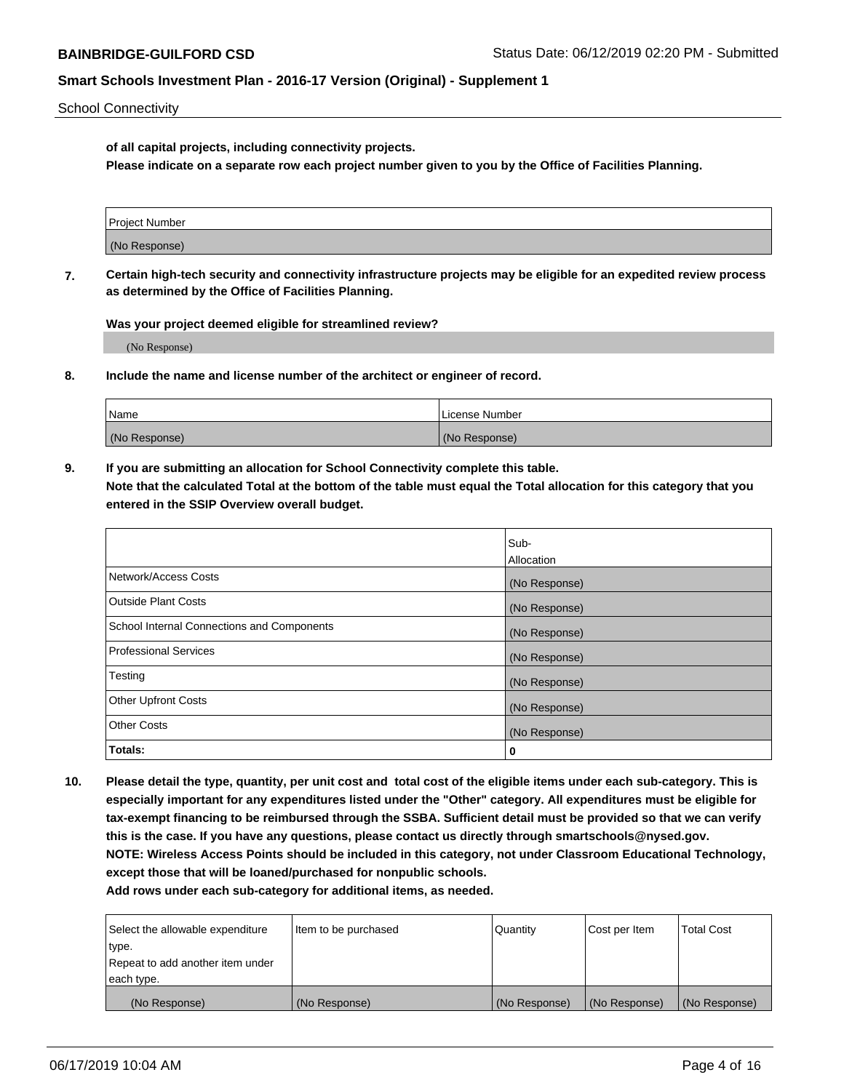School Connectivity

**of all capital projects, including connectivity projects.**

**Please indicate on a separate row each project number given to you by the Office of Facilities Planning.**

| Project Number |  |
|----------------|--|
|                |  |
| (No Response)  |  |
|                |  |

**7. Certain high-tech security and connectivity infrastructure projects may be eligible for an expedited review process as determined by the Office of Facilities Planning.**

**Was your project deemed eligible for streamlined review?**

(No Response)

**8. Include the name and license number of the architect or engineer of record.**

| Name          | License Number |
|---------------|----------------|
| (No Response) | (No Response)  |

**9. If you are submitting an allocation for School Connectivity complete this table. Note that the calculated Total at the bottom of the table must equal the Total allocation for this category that you entered in the SSIP Overview overall budget.** 

|                                            | Sub-              |
|--------------------------------------------|-------------------|
|                                            | <b>Allocation</b> |
| Network/Access Costs                       | (No Response)     |
| <b>Outside Plant Costs</b>                 | (No Response)     |
| School Internal Connections and Components | (No Response)     |
| <b>Professional Services</b>               | (No Response)     |
| Testing                                    | (No Response)     |
| <b>Other Upfront Costs</b>                 | (No Response)     |
| <b>Other Costs</b>                         | (No Response)     |
| Totals:                                    | 0                 |

**10. Please detail the type, quantity, per unit cost and total cost of the eligible items under each sub-category. This is especially important for any expenditures listed under the "Other" category. All expenditures must be eligible for tax-exempt financing to be reimbursed through the SSBA. Sufficient detail must be provided so that we can verify this is the case. If you have any questions, please contact us directly through smartschools@nysed.gov. NOTE: Wireless Access Points should be included in this category, not under Classroom Educational Technology, except those that will be loaned/purchased for nonpublic schools.**

| Select the allowable expenditure | Item to be purchased | Quantity      | <b>Cost per Item</b> | <b>Total Cost</b> |
|----------------------------------|----------------------|---------------|----------------------|-------------------|
| type.                            |                      |               |                      |                   |
| Repeat to add another item under |                      |               |                      |                   |
| each type.                       |                      |               |                      |                   |
| (No Response)                    | (No Response)        | (No Response) | (No Response)        | (No Response)     |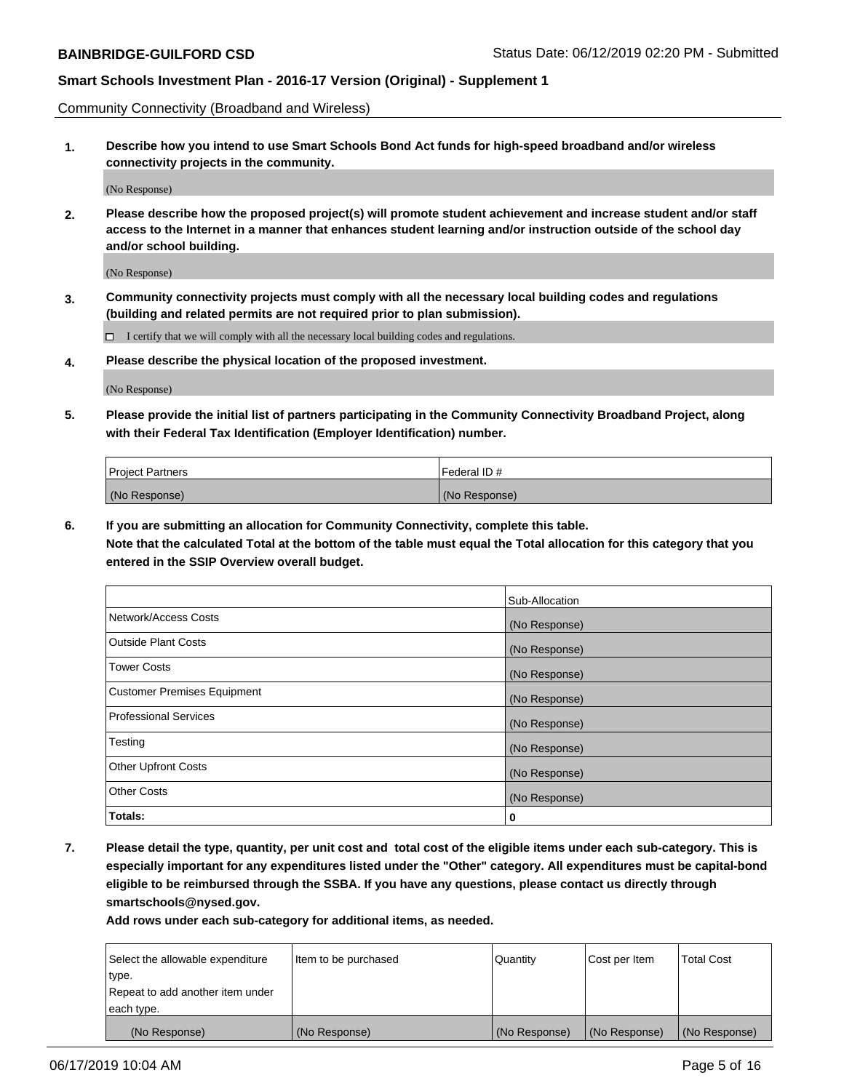Community Connectivity (Broadband and Wireless)

**1. Describe how you intend to use Smart Schools Bond Act funds for high-speed broadband and/or wireless connectivity projects in the community.**

(No Response)

**2. Please describe how the proposed project(s) will promote student achievement and increase student and/or staff access to the Internet in a manner that enhances student learning and/or instruction outside of the school day and/or school building.**

(No Response)

**3. Community connectivity projects must comply with all the necessary local building codes and regulations (building and related permits are not required prior to plan submission).**

 $\Box$  I certify that we will comply with all the necessary local building codes and regulations.

**4. Please describe the physical location of the proposed investment.**

(No Response)

**5. Please provide the initial list of partners participating in the Community Connectivity Broadband Project, along with their Federal Tax Identification (Employer Identification) number.**

| <b>Project Partners</b> | Federal ID#   |
|-------------------------|---------------|
| (No Response)           | (No Response) |

**6. If you are submitting an allocation for Community Connectivity, complete this table.**

**Note that the calculated Total at the bottom of the table must equal the Total allocation for this category that you entered in the SSIP Overview overall budget.**

|                                    | Sub-Allocation |
|------------------------------------|----------------|
| Network/Access Costs               | (No Response)  |
| <b>Outside Plant Costs</b>         | (No Response)  |
| <b>Tower Costs</b>                 | (No Response)  |
| <b>Customer Premises Equipment</b> | (No Response)  |
| <b>Professional Services</b>       | (No Response)  |
| Testing                            | (No Response)  |
| <b>Other Upfront Costs</b>         | (No Response)  |
| <b>Other Costs</b>                 | (No Response)  |
| Totals:                            | 0              |

**7. Please detail the type, quantity, per unit cost and total cost of the eligible items under each sub-category. This is especially important for any expenditures listed under the "Other" category. All expenditures must be capital-bond eligible to be reimbursed through the SSBA. If you have any questions, please contact us directly through smartschools@nysed.gov.**

| Select the allowable expenditure<br>type.      | Item to be purchased | Quantity      | Cost per Item | <b>Total Cost</b> |
|------------------------------------------------|----------------------|---------------|---------------|-------------------|
| Repeat to add another item under<br>each type. |                      |               |               |                   |
| (No Response)                                  | (No Response)        | (No Response) | (No Response) | (No Response)     |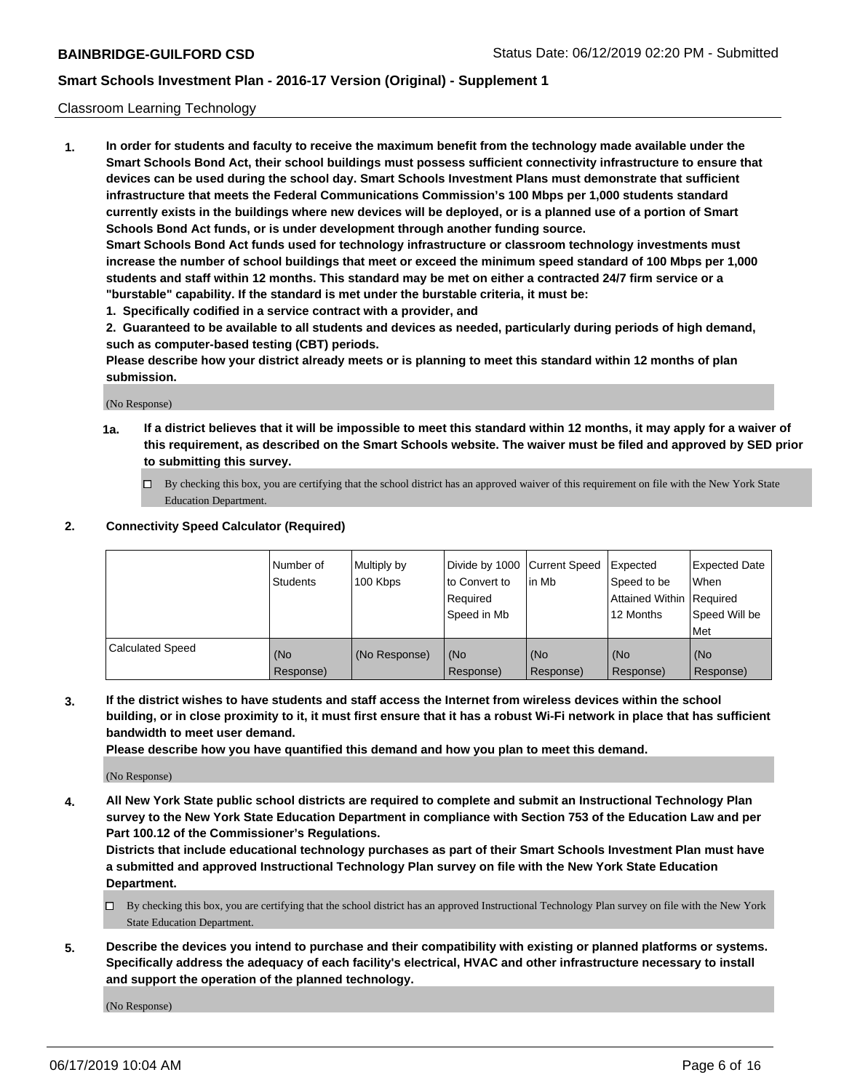#### Classroom Learning Technology

**1. In order for students and faculty to receive the maximum benefit from the technology made available under the Smart Schools Bond Act, their school buildings must possess sufficient connectivity infrastructure to ensure that devices can be used during the school day. Smart Schools Investment Plans must demonstrate that sufficient infrastructure that meets the Federal Communications Commission's 100 Mbps per 1,000 students standard currently exists in the buildings where new devices will be deployed, or is a planned use of a portion of Smart Schools Bond Act funds, or is under development through another funding source. Smart Schools Bond Act funds used for technology infrastructure or classroom technology investments must**

**increase the number of school buildings that meet or exceed the minimum speed standard of 100 Mbps per 1,000 students and staff within 12 months. This standard may be met on either a contracted 24/7 firm service or a "burstable" capability. If the standard is met under the burstable criteria, it must be:**

**1. Specifically codified in a service contract with a provider, and**

**2. Guaranteed to be available to all students and devices as needed, particularly during periods of high demand, such as computer-based testing (CBT) periods.**

**Please describe how your district already meets or is planning to meet this standard within 12 months of plan submission.**

(No Response)

- **1a. If a district believes that it will be impossible to meet this standard within 12 months, it may apply for a waiver of this requirement, as described on the Smart Schools website. The waiver must be filed and approved by SED prior to submitting this survey.**
	- By checking this box, you are certifying that the school district has an approved waiver of this requirement on file with the New York State Education Department.

#### **2. Connectivity Speed Calculator (Required)**

|                         | l Number of<br>Students | Multiply by<br>100 Kbps | to Convert to<br>Required<br>Speed in Mb | Divide by 1000 Current Speed Expected<br>l in Mb | Speed to be<br>Attained Within Required<br>12 Months | <b>Expected Date</b><br>When<br>Speed Will be<br>Met |
|-------------------------|-------------------------|-------------------------|------------------------------------------|--------------------------------------------------|------------------------------------------------------|------------------------------------------------------|
| <b>Calculated Speed</b> | (No<br>Response)        | (No Response)           | (No<br>Response)                         | (No<br>Response)                                 | (No<br>Response)                                     | (No<br>Response)                                     |

**3. If the district wishes to have students and staff access the Internet from wireless devices within the school building, or in close proximity to it, it must first ensure that it has a robust Wi-Fi network in place that has sufficient bandwidth to meet user demand.**

**Please describe how you have quantified this demand and how you plan to meet this demand.**

(No Response)

**4. All New York State public school districts are required to complete and submit an Instructional Technology Plan survey to the New York State Education Department in compliance with Section 753 of the Education Law and per Part 100.12 of the Commissioner's Regulations.**

**Districts that include educational technology purchases as part of their Smart Schools Investment Plan must have a submitted and approved Instructional Technology Plan survey on file with the New York State Education Department.**

- $\Box$  By checking this box, you are certifying that the school district has an approved Instructional Technology Plan survey on file with the New York State Education Department.
- **5. Describe the devices you intend to purchase and their compatibility with existing or planned platforms or systems. Specifically address the adequacy of each facility's electrical, HVAC and other infrastructure necessary to install and support the operation of the planned technology.**

(No Response)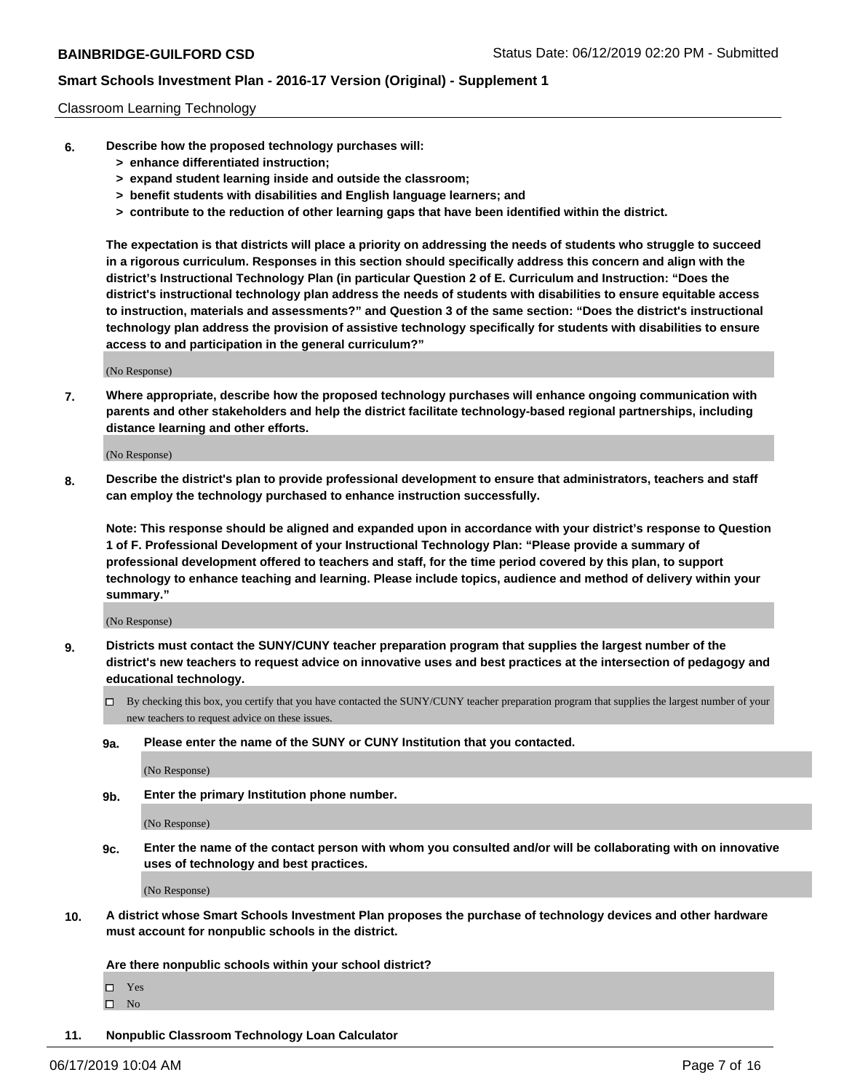#### Classroom Learning Technology

- **6. Describe how the proposed technology purchases will:**
	- **> enhance differentiated instruction;**
	- **> expand student learning inside and outside the classroom;**
	- **> benefit students with disabilities and English language learners; and**
	- **> contribute to the reduction of other learning gaps that have been identified within the district.**

**The expectation is that districts will place a priority on addressing the needs of students who struggle to succeed in a rigorous curriculum. Responses in this section should specifically address this concern and align with the district's Instructional Technology Plan (in particular Question 2 of E. Curriculum and Instruction: "Does the district's instructional technology plan address the needs of students with disabilities to ensure equitable access to instruction, materials and assessments?" and Question 3 of the same section: "Does the district's instructional technology plan address the provision of assistive technology specifically for students with disabilities to ensure access to and participation in the general curriculum?"**

(No Response)

**7. Where appropriate, describe how the proposed technology purchases will enhance ongoing communication with parents and other stakeholders and help the district facilitate technology-based regional partnerships, including distance learning and other efforts.**

(No Response)

**8. Describe the district's plan to provide professional development to ensure that administrators, teachers and staff can employ the technology purchased to enhance instruction successfully.**

**Note: This response should be aligned and expanded upon in accordance with your district's response to Question 1 of F. Professional Development of your Instructional Technology Plan: "Please provide a summary of professional development offered to teachers and staff, for the time period covered by this plan, to support technology to enhance teaching and learning. Please include topics, audience and method of delivery within your summary."**

(No Response)

- **9. Districts must contact the SUNY/CUNY teacher preparation program that supplies the largest number of the district's new teachers to request advice on innovative uses and best practices at the intersection of pedagogy and educational technology.**
	- By checking this box, you certify that you have contacted the SUNY/CUNY teacher preparation program that supplies the largest number of your new teachers to request advice on these issues.
	- **9a. Please enter the name of the SUNY or CUNY Institution that you contacted.**

(No Response)

**9b. Enter the primary Institution phone number.**

(No Response)

**9c. Enter the name of the contact person with whom you consulted and/or will be collaborating with on innovative uses of technology and best practices.**

(No Response)

**10. A district whose Smart Schools Investment Plan proposes the purchase of technology devices and other hardware must account for nonpublic schools in the district.**

**Are there nonpublic schools within your school district?**

Yes

 $\square$  No

**11. Nonpublic Classroom Technology Loan Calculator**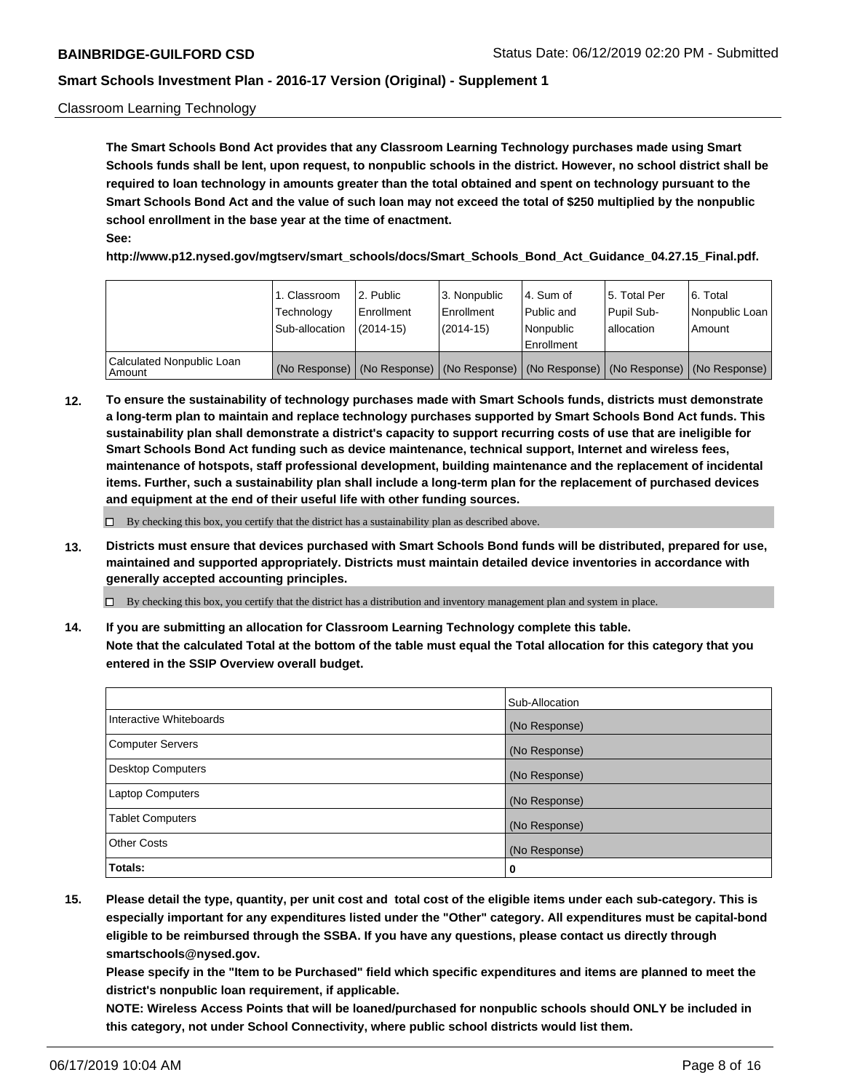#### Classroom Learning Technology

**The Smart Schools Bond Act provides that any Classroom Learning Technology purchases made using Smart Schools funds shall be lent, upon request, to nonpublic schools in the district. However, no school district shall be required to loan technology in amounts greater than the total obtained and spent on technology pursuant to the Smart Schools Bond Act and the value of such loan may not exceed the total of \$250 multiplied by the nonpublic school enrollment in the base year at the time of enactment. See:**

**http://www.p12.nysed.gov/mgtserv/smart\_schools/docs/Smart\_Schools\_Bond\_Act\_Guidance\_04.27.15\_Final.pdf.**

|                                       | 1. Classroom<br>Technology<br>Sub-allocation | 2. Public<br>l Enrollment<br>$(2014 - 15)$ | l 3. Nonpublic<br>l Enrollment<br>$(2014 - 15)$ | l 4. Sum of<br>Public and<br>l Nonpublic<br>Enrollment                                        | 15. Total Per<br>Pupil Sub-<br>l allocation | l 6. Total<br>Nonpublic Loan<br>Amount |
|---------------------------------------|----------------------------------------------|--------------------------------------------|-------------------------------------------------|-----------------------------------------------------------------------------------------------|---------------------------------------------|----------------------------------------|
| Calculated Nonpublic Loan<br>l Amount |                                              |                                            |                                                 | (No Response)   (No Response)   (No Response)   (No Response)   (No Response)   (No Response) |                                             |                                        |

**12. To ensure the sustainability of technology purchases made with Smart Schools funds, districts must demonstrate a long-term plan to maintain and replace technology purchases supported by Smart Schools Bond Act funds. This sustainability plan shall demonstrate a district's capacity to support recurring costs of use that are ineligible for Smart Schools Bond Act funding such as device maintenance, technical support, Internet and wireless fees, maintenance of hotspots, staff professional development, building maintenance and the replacement of incidental items. Further, such a sustainability plan shall include a long-term plan for the replacement of purchased devices and equipment at the end of their useful life with other funding sources.**

 $\Box$  By checking this box, you certify that the district has a sustainability plan as described above.

**13. Districts must ensure that devices purchased with Smart Schools Bond funds will be distributed, prepared for use, maintained and supported appropriately. Districts must maintain detailed device inventories in accordance with generally accepted accounting principles.**

By checking this box, you certify that the district has a distribution and inventory management plan and system in place.

**14. If you are submitting an allocation for Classroom Learning Technology complete this table. Note that the calculated Total at the bottom of the table must equal the Total allocation for this category that you entered in the SSIP Overview overall budget.**

|                         | Sub-Allocation |
|-------------------------|----------------|
| Interactive Whiteboards | (No Response)  |
| Computer Servers        | (No Response)  |
| Desktop Computers       | (No Response)  |
| Laptop Computers        | (No Response)  |
| <b>Tablet Computers</b> | (No Response)  |
| <b>Other Costs</b>      | (No Response)  |
| Totals:                 | 0              |

**15. Please detail the type, quantity, per unit cost and total cost of the eligible items under each sub-category. This is especially important for any expenditures listed under the "Other" category. All expenditures must be capital-bond eligible to be reimbursed through the SSBA. If you have any questions, please contact us directly through smartschools@nysed.gov.**

**Please specify in the "Item to be Purchased" field which specific expenditures and items are planned to meet the district's nonpublic loan requirement, if applicable.**

**NOTE: Wireless Access Points that will be loaned/purchased for nonpublic schools should ONLY be included in this category, not under School Connectivity, where public school districts would list them.**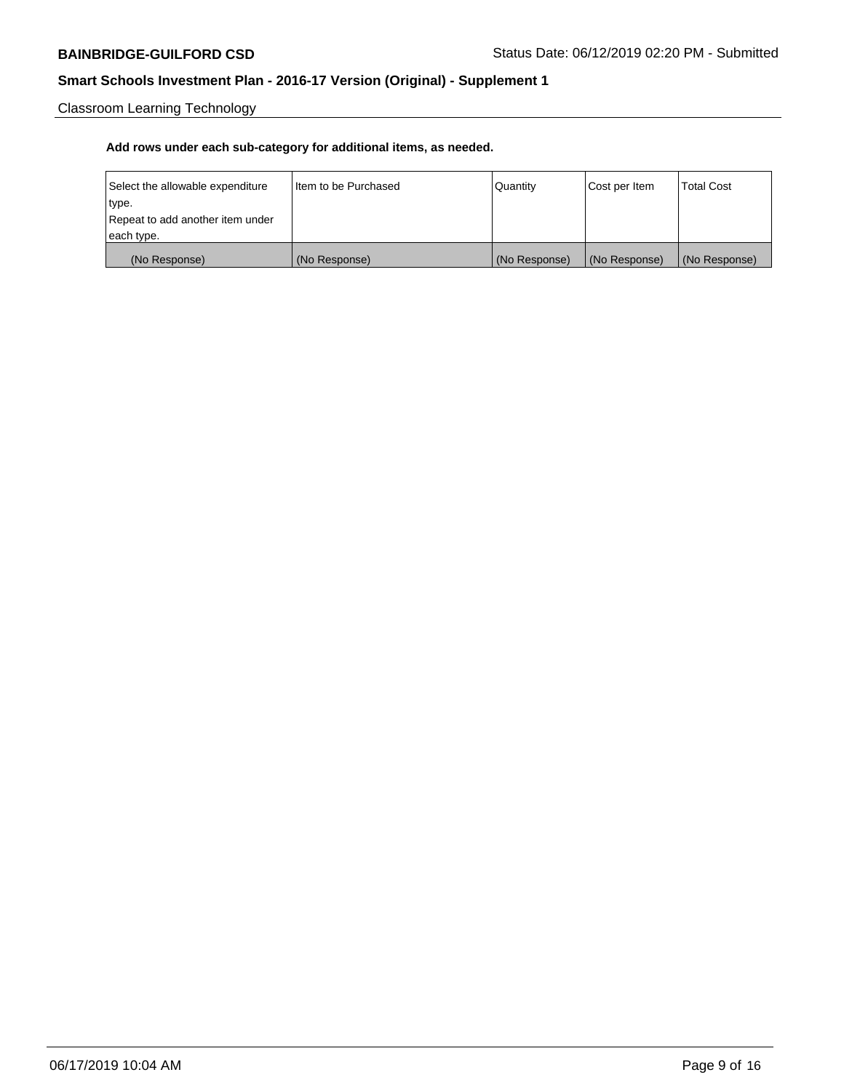Classroom Learning Technology

| Select the allowable expenditure | I Item to be Purchased | Quantity      | Cost per Item | <b>Total Cost</b> |
|----------------------------------|------------------------|---------------|---------------|-------------------|
| type.                            |                        |               |               |                   |
| Repeat to add another item under |                        |               |               |                   |
| each type.                       |                        |               |               |                   |
| (No Response)                    | (No Response)          | (No Response) | (No Response) | (No Response)     |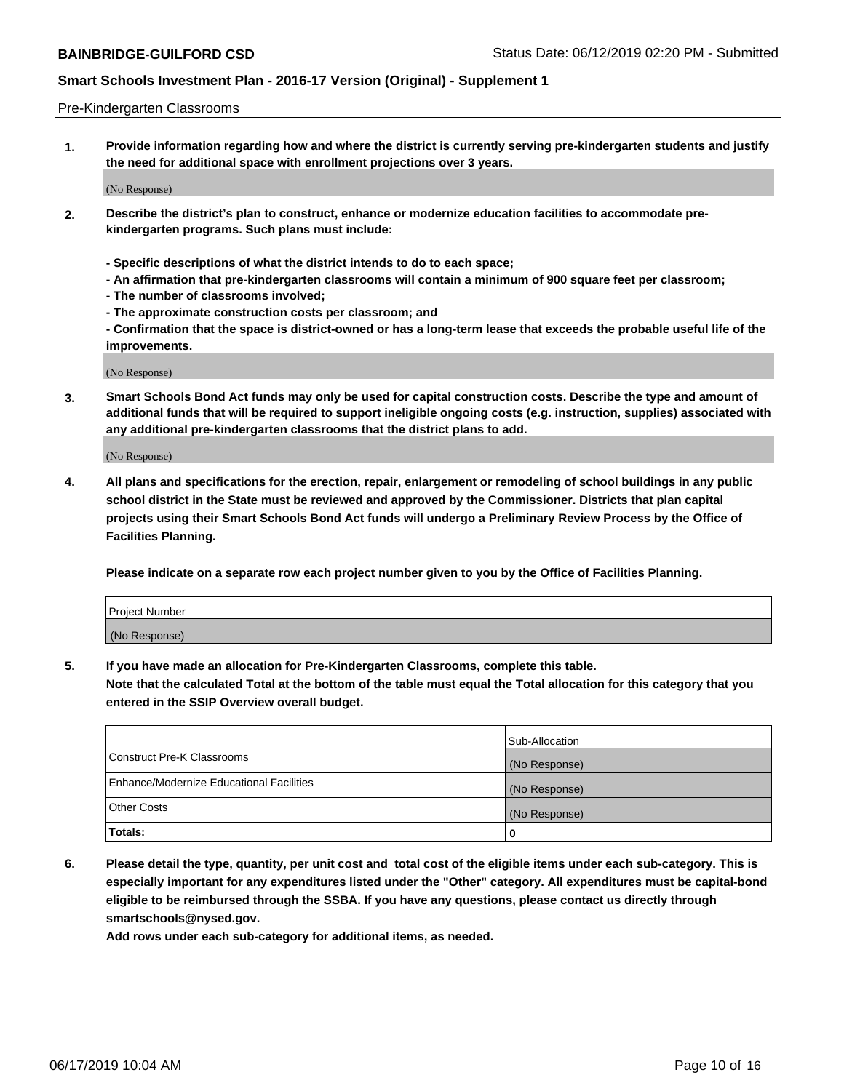#### Pre-Kindergarten Classrooms

**1. Provide information regarding how and where the district is currently serving pre-kindergarten students and justify the need for additional space with enrollment projections over 3 years.**

(No Response)

- **2. Describe the district's plan to construct, enhance or modernize education facilities to accommodate prekindergarten programs. Such plans must include:**
	- **Specific descriptions of what the district intends to do to each space;**
	- **An affirmation that pre-kindergarten classrooms will contain a minimum of 900 square feet per classroom;**
	- **The number of classrooms involved;**
	- **The approximate construction costs per classroom; and**
	- **Confirmation that the space is district-owned or has a long-term lease that exceeds the probable useful life of the improvements.**

(No Response)

**3. Smart Schools Bond Act funds may only be used for capital construction costs. Describe the type and amount of additional funds that will be required to support ineligible ongoing costs (e.g. instruction, supplies) associated with any additional pre-kindergarten classrooms that the district plans to add.**

(No Response)

**4. All plans and specifications for the erection, repair, enlargement or remodeling of school buildings in any public school district in the State must be reviewed and approved by the Commissioner. Districts that plan capital projects using their Smart Schools Bond Act funds will undergo a Preliminary Review Process by the Office of Facilities Planning.**

**Please indicate on a separate row each project number given to you by the Office of Facilities Planning.**

| Project Number |  |
|----------------|--|
| (No Response)  |  |
|                |  |

**5. If you have made an allocation for Pre-Kindergarten Classrooms, complete this table.**

**Note that the calculated Total at the bottom of the table must equal the Total allocation for this category that you entered in the SSIP Overview overall budget.**

|                                          | Sub-Allocation |
|------------------------------------------|----------------|
| Construct Pre-K Classrooms               | (No Response)  |
| Enhance/Modernize Educational Facilities | (No Response)  |
| <b>Other Costs</b>                       | (No Response)  |
| Totals:                                  | 0              |

**6. Please detail the type, quantity, per unit cost and total cost of the eligible items under each sub-category. This is especially important for any expenditures listed under the "Other" category. All expenditures must be capital-bond eligible to be reimbursed through the SSBA. If you have any questions, please contact us directly through smartschools@nysed.gov.**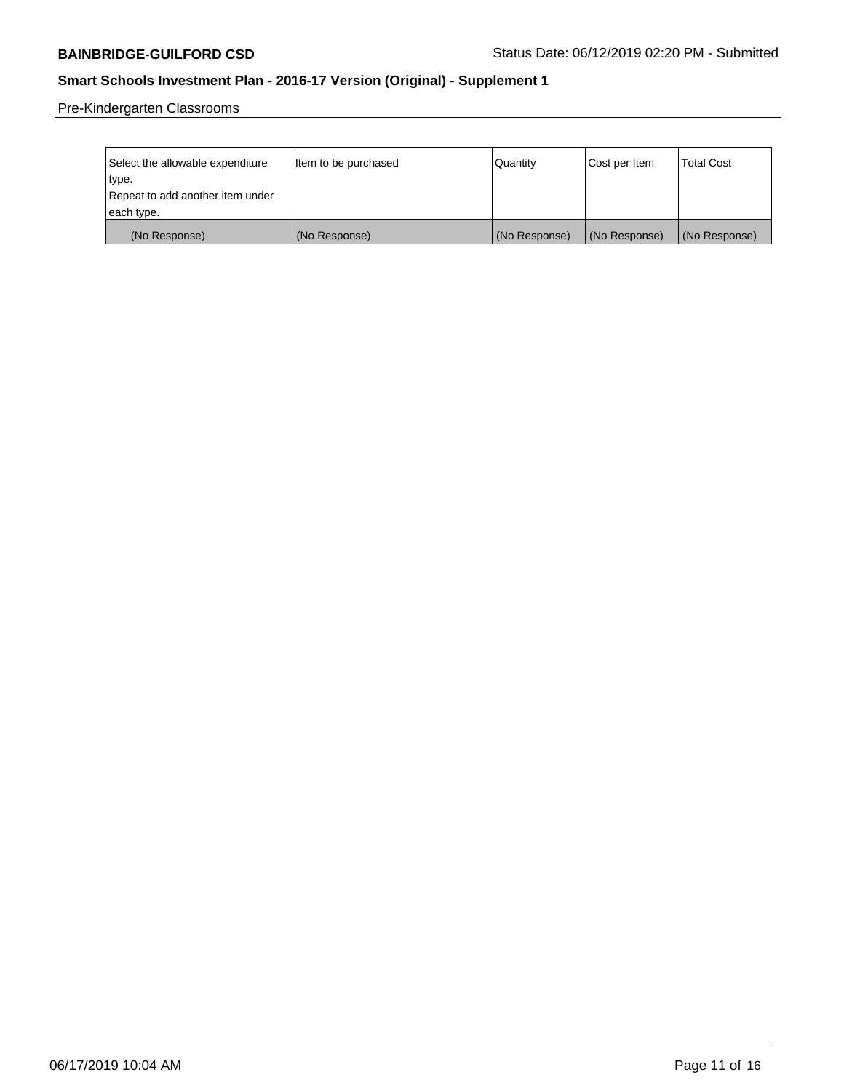Pre-Kindergarten Classrooms

| Select the allowable expenditure<br>type. | Item to be purchased | Quantity      | Cost per Item | <b>Total Cost</b> |
|-------------------------------------------|----------------------|---------------|---------------|-------------------|
| Repeat to add another item under          |                      |               |               |                   |
| each type.                                |                      |               |               |                   |
| (No Response)                             | (No Response)        | (No Response) | (No Response) | (No Response)     |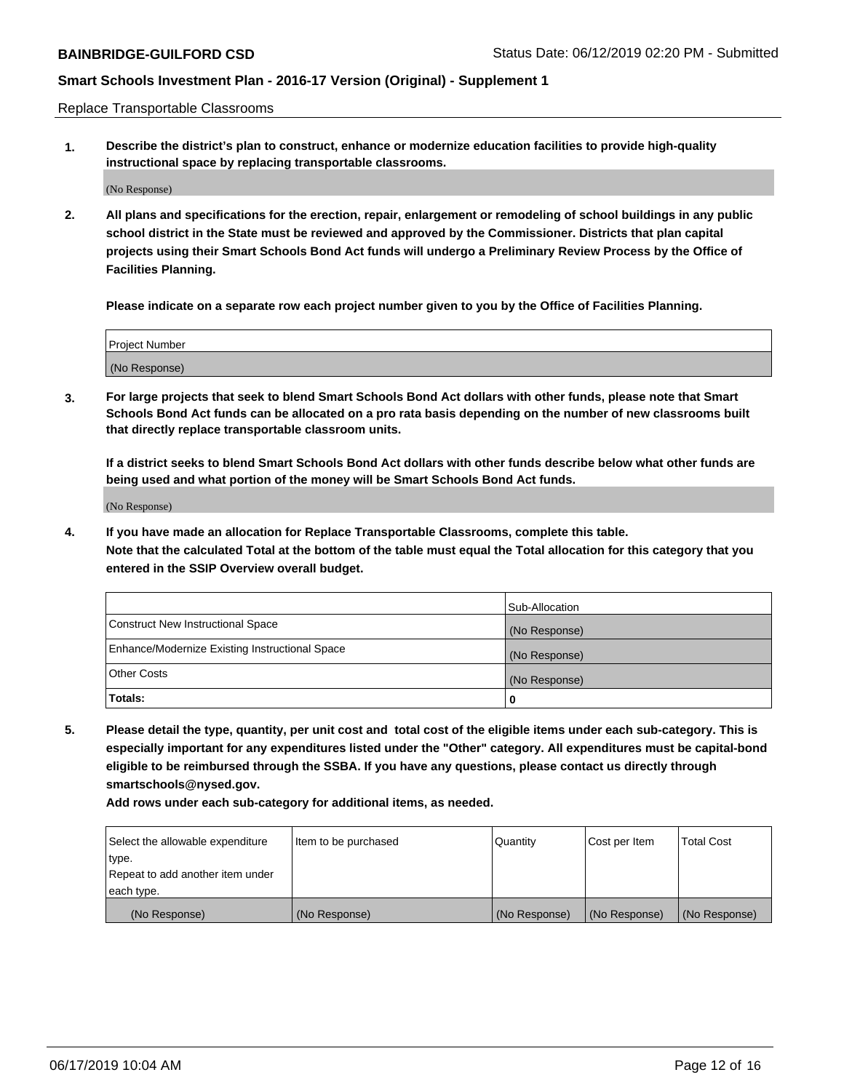Replace Transportable Classrooms

**1. Describe the district's plan to construct, enhance or modernize education facilities to provide high-quality instructional space by replacing transportable classrooms.**

(No Response)

**2. All plans and specifications for the erection, repair, enlargement or remodeling of school buildings in any public school district in the State must be reviewed and approved by the Commissioner. Districts that plan capital projects using their Smart Schools Bond Act funds will undergo a Preliminary Review Process by the Office of Facilities Planning.**

**Please indicate on a separate row each project number given to you by the Office of Facilities Planning.**

| Project Number |  |
|----------------|--|
|                |  |
| (No Response)  |  |

**3. For large projects that seek to blend Smart Schools Bond Act dollars with other funds, please note that Smart Schools Bond Act funds can be allocated on a pro rata basis depending on the number of new classrooms built that directly replace transportable classroom units.**

**If a district seeks to blend Smart Schools Bond Act dollars with other funds describe below what other funds are being used and what portion of the money will be Smart Schools Bond Act funds.**

(No Response)

**4. If you have made an allocation for Replace Transportable Classrooms, complete this table. Note that the calculated Total at the bottom of the table must equal the Total allocation for this category that you entered in the SSIP Overview overall budget.**

|                                                | Sub-Allocation |
|------------------------------------------------|----------------|
| Construct New Instructional Space              | (No Response)  |
| Enhance/Modernize Existing Instructional Space | (No Response)  |
| <b>Other Costs</b>                             | (No Response)  |
| Totals:                                        | 0              |

**5. Please detail the type, quantity, per unit cost and total cost of the eligible items under each sub-category. This is especially important for any expenditures listed under the "Other" category. All expenditures must be capital-bond eligible to be reimbursed through the SSBA. If you have any questions, please contact us directly through smartschools@nysed.gov.**

| Select the allowable expenditure | I ltem to be purchased | l Quantitv    | Cost per Item | <b>Total Cost</b> |
|----------------------------------|------------------------|---------------|---------------|-------------------|
| type.                            |                        |               |               |                   |
| Repeat to add another item under |                        |               |               |                   |
| each type.                       |                        |               |               |                   |
| (No Response)                    | (No Response)          | (No Response) | (No Response) | (No Response)     |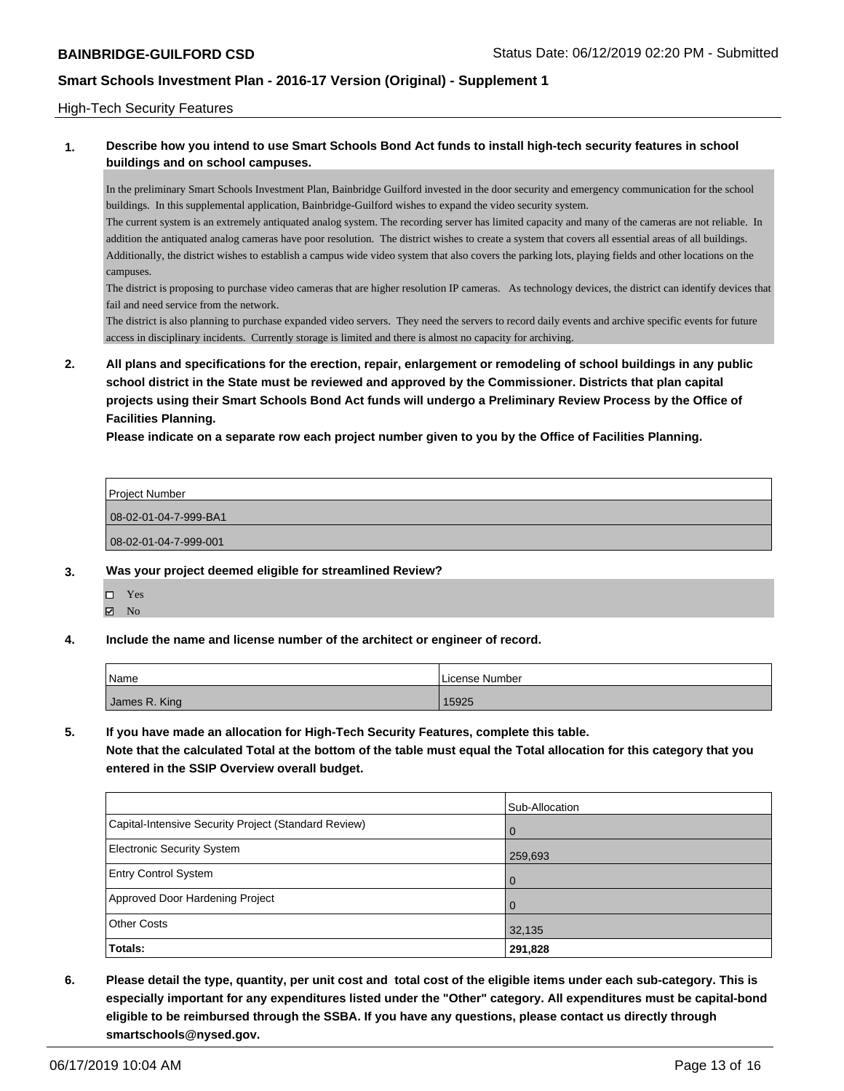#### High-Tech Security Features

### **1. Describe how you intend to use Smart Schools Bond Act funds to install high-tech security features in school buildings and on school campuses.**

In the preliminary Smart Schools Investment Plan, Bainbridge Guilford invested in the door security and emergency communication for the school buildings. In this supplemental application, Bainbridge-Guilford wishes to expand the video security system.

The current system is an extremely antiquated analog system. The recording server has limited capacity and many of the cameras are not reliable. In addition the antiquated analog cameras have poor resolution. The district wishes to create a system that covers all essential areas of all buildings. Additionally, the district wishes to establish a campus wide video system that also covers the parking lots, playing fields and other locations on the campuses.

The district is proposing to purchase video cameras that are higher resolution IP cameras. As technology devices, the district can identify devices that fail and need service from the network.

The district is also planning to purchase expanded video servers. They need the servers to record daily events and archive specific events for future access in disciplinary incidents. Currently storage is limited and there is almost no capacity for archiving.

**2. All plans and specifications for the erection, repair, enlargement or remodeling of school buildings in any public school district in the State must be reviewed and approved by the Commissioner. Districts that plan capital projects using their Smart Schools Bond Act funds will undergo a Preliminary Review Process by the Office of Facilities Planning.** 

**Please indicate on a separate row each project number given to you by the Office of Facilities Planning.**

| Project Number        |  |
|-----------------------|--|
| 08-02-01-04-7-999-BA1 |  |
| 08-02-01-04-7-999-001 |  |

- **3. Was your project deemed eligible for streamlined Review?**
	- Yes
	- $\boxtimes$  No
- **4. Include the name and license number of the architect or engineer of record.**

| Name          | License Number |
|---------------|----------------|
| James R. King | 15925          |

**5. If you have made an allocation for High-Tech Security Features, complete this table.**

**Note that the calculated Total at the bottom of the table must equal the Total allocation for this category that you entered in the SSIP Overview overall budget.**

|                                                      | Sub-Allocation |
|------------------------------------------------------|----------------|
| Capital-Intensive Security Project (Standard Review) | $\overline{0}$ |
| <b>Electronic Security System</b>                    | 259,693        |
| <b>Entry Control System</b>                          | $\overline{0}$ |
| Approved Door Hardening Project                      | $\Omega$       |
| <b>Other Costs</b>                                   | 32,135         |
| Totals:                                              | 291,828        |

**6. Please detail the type, quantity, per unit cost and total cost of the eligible items under each sub-category. This is especially important for any expenditures listed under the "Other" category. All expenditures must be capital-bond eligible to be reimbursed through the SSBA. If you have any questions, please contact us directly through smartschools@nysed.gov.**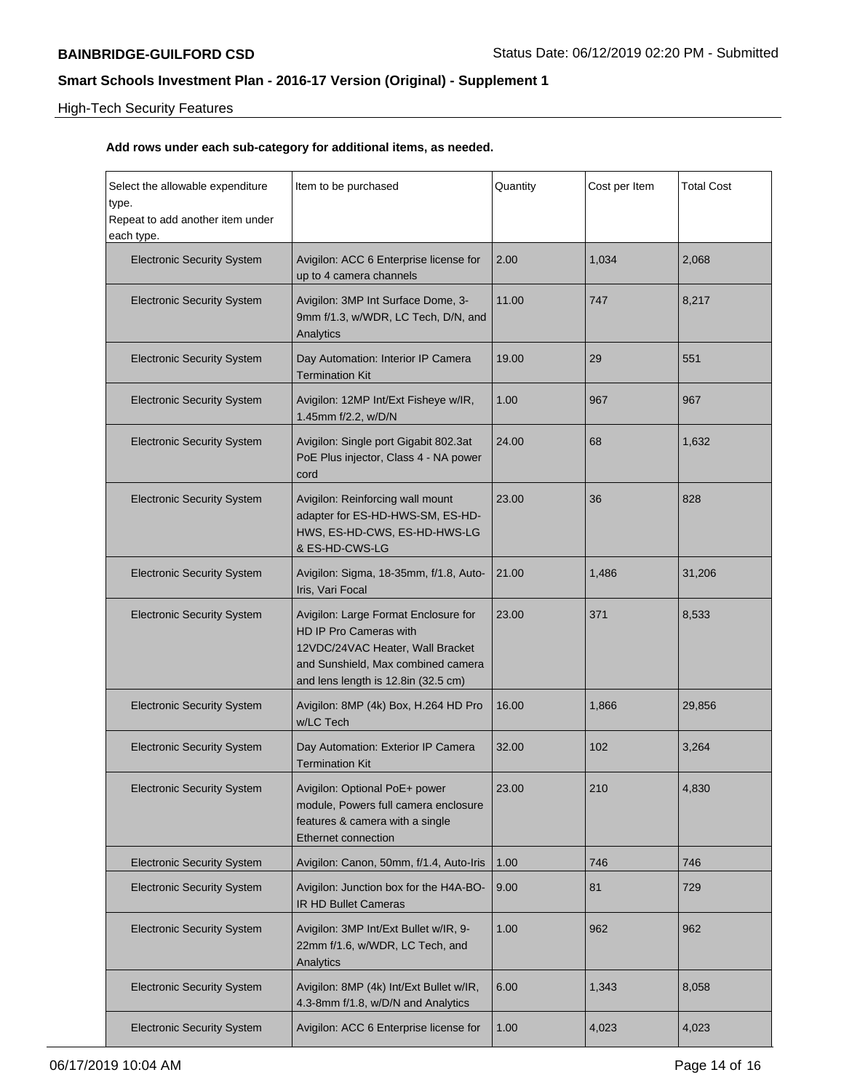# High-Tech Security Features

| Select the allowable expenditure<br>type.      | Item to be purchased                                                                                                                                                            | Quantity | Cost per Item | <b>Total Cost</b> |
|------------------------------------------------|---------------------------------------------------------------------------------------------------------------------------------------------------------------------------------|----------|---------------|-------------------|
| Repeat to add another item under<br>each type. |                                                                                                                                                                                 |          |               |                   |
| <b>Electronic Security System</b>              | Avigilon: ACC 6 Enterprise license for<br>up to 4 camera channels                                                                                                               | 2.00     | 1,034         | 2,068             |
| <b>Electronic Security System</b>              | Avigilon: 3MP Int Surface Dome, 3-<br>9mm f/1.3, w/WDR, LC Tech, D/N, and<br>Analytics                                                                                          | 11.00    | 747           | 8,217             |
| <b>Electronic Security System</b>              | Day Automation: Interior IP Camera<br><b>Termination Kit</b>                                                                                                                    | 19.00    | 29            | 551               |
| <b>Electronic Security System</b>              | Avigilon: 12MP Int/Ext Fisheye w/IR,<br>1.45mm f/2.2, w/D/N                                                                                                                     | 1.00     | 967           | 967               |
| <b>Electronic Security System</b>              | Avigilon: Single port Gigabit 802.3at<br>PoE Plus injector, Class 4 - NA power<br>cord                                                                                          | 24.00    | 68            | 1,632             |
| <b>Electronic Security System</b>              | Avigilon: Reinforcing wall mount<br>adapter for ES-HD-HWS-SM, ES-HD-<br>HWS, ES-HD-CWS, ES-HD-HWS-LG<br>& ES-HD-CWS-LG                                                          | 23.00    | 36            | 828               |
| <b>Electronic Security System</b>              | Avigilon: Sigma, 18-35mm, f/1.8, Auto-<br>Iris, Vari Focal                                                                                                                      | 21.00    | 1,486         | 31,206            |
| <b>Electronic Security System</b>              | Avigilon: Large Format Enclosure for<br>HD IP Pro Cameras with<br>12VDC/24VAC Heater, Wall Bracket<br>and Sunshield, Max combined camera<br>and lens length is 12.8in (32.5 cm) | 23.00    | 371           | 8,533             |
| <b>Electronic Security System</b>              | Avigilon: 8MP (4k) Box, H.264 HD Pro<br>w/LC Tech                                                                                                                               | 16.00    | 1,866         | 29,856            |
| <b>Electronic Security System</b>              | Day Automation: Exterior IP Camera<br><b>Termination Kit</b>                                                                                                                    | 32.00    | 102           | 3,264             |
| <b>Electronic Security System</b>              | Avigilon: Optional PoE+ power<br>module, Powers full camera enclosure<br>features & camera with a single<br>Ethernet connection                                                 | 23.00    | 210           | 4,830             |
| <b>Electronic Security System</b>              | Avigilon: Canon, 50mm, f/1.4, Auto-Iris                                                                                                                                         | 1.00     | 746           | 746               |
| <b>Electronic Security System</b>              | Avigilon: Junction box for the H4A-BO-<br><b>IR HD Bullet Cameras</b>                                                                                                           | 9.00     | 81            | 729               |
| <b>Electronic Security System</b>              | Avigilon: 3MP Int/Ext Bullet w/IR, 9-<br>22mm f/1.6, w/WDR, LC Tech, and<br>Analytics                                                                                           | 1.00     | 962           | 962               |
| <b>Electronic Security System</b>              | Avigilon: 8MP (4k) Int/Ext Bullet w/IR,<br>4.3-8mm f/1.8, w/D/N and Analytics                                                                                                   | 6.00     | 1,343         | 8,058             |
| <b>Electronic Security System</b>              | Avigilon: ACC 6 Enterprise license for                                                                                                                                          | 1.00     | 4,023         | 4,023             |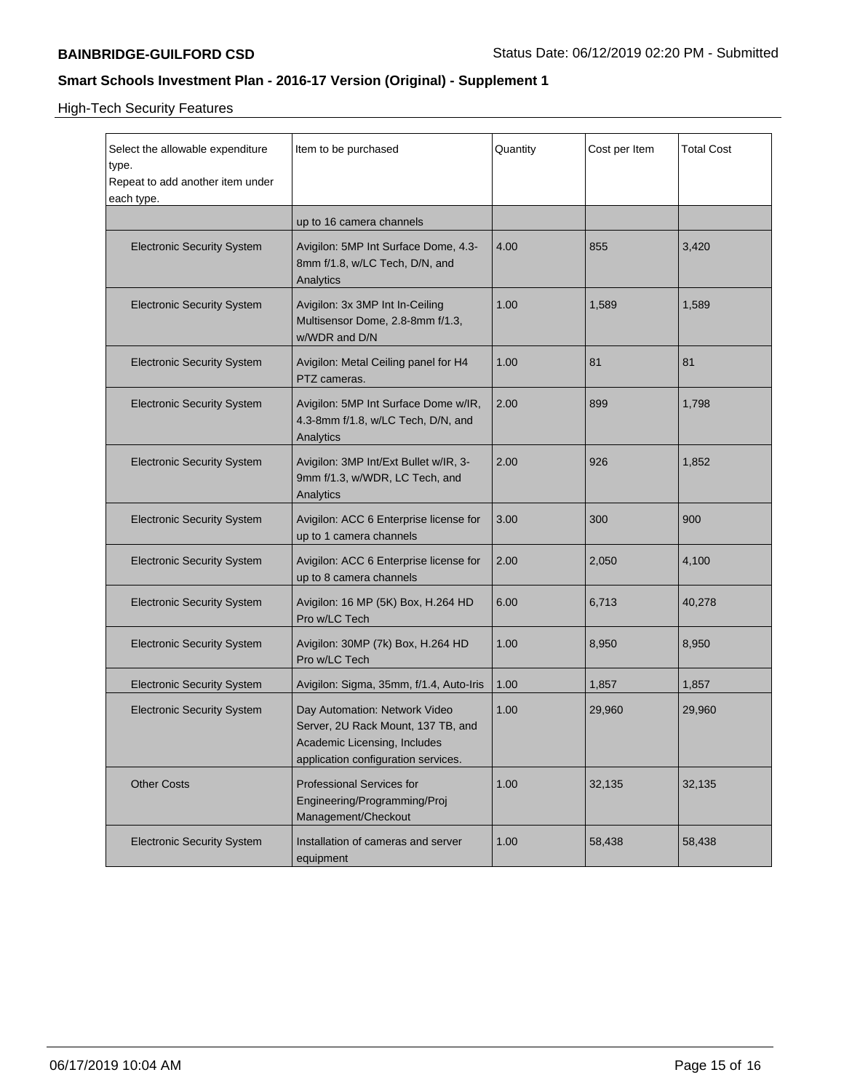High-Tech Security Features

| Select the allowable expenditure<br>type.<br>Repeat to add another item under<br>each type. | Item to be purchased                                                                                                                       | Quantity | Cost per Item | <b>Total Cost</b> |
|---------------------------------------------------------------------------------------------|--------------------------------------------------------------------------------------------------------------------------------------------|----------|---------------|-------------------|
|                                                                                             | up to 16 camera channels                                                                                                                   |          |               |                   |
| <b>Electronic Security System</b>                                                           | Avigilon: 5MP Int Surface Dome, 4.3-<br>8mm f/1.8, w/LC Tech, D/N, and<br>Analytics                                                        | 4.00     | 855           | 3,420             |
| <b>Electronic Security System</b>                                                           | Avigilon: 3x 3MP Int In-Ceiling<br>Multisensor Dome, 2.8-8mm f/1.3,<br>w/WDR and D/N                                                       | 1.00     | 1,589         | 1,589             |
| <b>Electronic Security System</b>                                                           | Avigilon: Metal Ceiling panel for H4<br>PTZ cameras.                                                                                       | 1.00     | 81            | 81                |
| <b>Electronic Security System</b>                                                           | Avigilon: 5MP Int Surface Dome w/IR,<br>4.3-8mm f/1.8, w/LC Tech, D/N, and<br>Analytics                                                    | 2.00     | 899           | 1,798             |
| <b>Electronic Security System</b>                                                           | Avigilon: 3MP Int/Ext Bullet w/IR, 3-<br>9mm f/1.3, w/WDR, LC Tech, and<br>Analytics                                                       | 2.00     | 926           | 1,852             |
| <b>Electronic Security System</b>                                                           | Avigilon: ACC 6 Enterprise license for<br>up to 1 camera channels                                                                          | 3.00     | 300           | 900               |
| <b>Electronic Security System</b>                                                           | Avigilon: ACC 6 Enterprise license for<br>up to 8 camera channels                                                                          | 2.00     | 2,050         | 4,100             |
| <b>Electronic Security System</b>                                                           | Avigilon: 16 MP (5K) Box, H.264 HD<br>Pro w/LC Tech                                                                                        | 6.00     | 6,713         | 40,278            |
| <b>Electronic Security System</b>                                                           | Avigilon: 30MP (7k) Box, H.264 HD<br>Pro w/LC Tech                                                                                         | 1.00     | 8,950         | 8,950             |
| <b>Electronic Security System</b>                                                           | Avigilon: Sigma, 35mm, f/1.4, Auto-Iris                                                                                                    | 1.00     | 1,857         | 1,857             |
| <b>Electronic Security System</b>                                                           | Day Automation: Network Video<br>Server, 2U Rack Mount, 137 TB, and<br>Academic Licensing, Includes<br>application configuration services. | 1.00     | 29,960        | 29,960            |
| <b>Other Costs</b>                                                                          | <b>Professional Services for</b><br>Engineering/Programming/Proj<br>Management/Checkout                                                    | 1.00     | 32,135        | 32,135            |
| <b>Electronic Security System</b>                                                           | Installation of cameras and server<br>equipment                                                                                            | 1.00     | 58,438        | 58,438            |